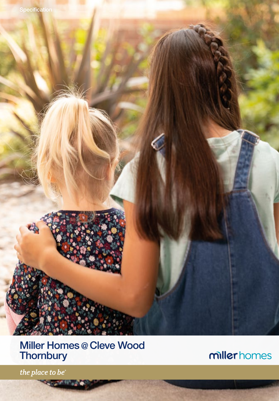

**SAMUEL** 

millerhomes

the place to be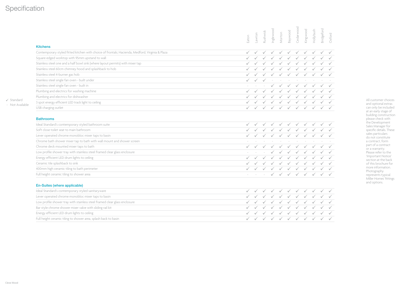## **Specification**

 $\checkmark$  Standard - Not Available

|                                                                                                 | Eaton | notwio- | Rushwick | nglewood | Morton       | Baywood      | Cedarwooc           | dingwood     | Hollybush    | <b>Bridgeford</b> | Oxford |
|-------------------------------------------------------------------------------------------------|-------|---------|----------|----------|--------------|--------------|---------------------|--------------|--------------|-------------------|--------|
| <b>Kitchens</b>                                                                                 |       |         |          |          |              |              |                     |              |              |                   |        |
| Contemporary styled fitted kitchen with choice of frontals; Hacienda, Medford, Virginia & Plaza |       |         |          |          |              |              |                     |              |              |                   |        |
| Square edged worktop with 95mm upstand to wall                                                  |       |         |          |          |              |              |                     |              |              |                   |        |
| Stainless steel one and a half bowl sink (where layout permits) with mixer tap                  |       |         |          |          |              |              |                     |              |              |                   |        |
| Stainless steel 60cm chimney hood and splashback to hob                                         |       |         |          |          |              |              |                     |              |              |                   |        |
| Stainless steel 4-burner gas hob                                                                |       |         |          |          |              |              |                     |              |              |                   |        |
| Stainless steel single fan oven - built under                                                   |       |         |          |          |              |              |                     |              |              |                   |        |
| Stainless steel single fan oven - built in                                                      |       |         |          |          |              |              |                     |              |              |                   |        |
| Plumbing and electrics for washing machine                                                      |       |         |          |          |              |              |                     |              |              |                   |        |
| Plumbing and electrics for dishwasher                                                           |       |         |          |          |              |              |                     |              |              |                   |        |
| 3 spot energy efficient LED track light to ceiling                                              |       |         |          |          |              |              |                     |              |              |                   |        |
| USB charging outlet                                                                             |       |         |          |          |              | $\checkmark$ |                     |              |              |                   |        |
| <b>Bathrooms</b>                                                                                |       |         |          |          |              |              |                     |              |              |                   |        |
| Ideal Standard's contemporary styled bathroom suite                                             |       |         |          |          |              |              |                     |              |              |                   |        |
| Soft close toilet seat to main bathroom                                                         |       |         |          |          |              |              |                     |              |              |                   |        |
| Lever operated chrome monobloc mixer taps to basin                                              |       |         |          |          |              |              |                     |              |              |                   |        |
| Chrome bath shower mixer tap to bath with wall mount and shower screen                          |       |         |          |          |              |              |                     |              |              |                   |        |
| Chrome deck mounted mixer taps to bath                                                          |       |         |          |          |              |              |                     |              |              |                   |        |
| Low profile shower tray with stainless steel framed clear glass enclosure                       |       |         |          |          |              |              |                     |              |              |                   |        |
| Energy efficient LED drum lights to ceiling                                                     |       |         |          |          |              |              |                     |              |              |                   |        |
| Ceramic tile splashback to sink                                                                 |       |         |          |          |              |              |                     |              |              |                   |        |
| 400mm high ceramic tiling to bath perimeter                                                     |       |         |          |          |              |              |                     |              |              |                   |        |
| Full height ceramic tiling to shower area                                                       |       |         |          |          | $\checkmark$ | $\checkmark$ | $\checkmark$        | $\checkmark$ | $\checkmark$ |                   |        |
| En-Suites (where applicable)                                                                    |       |         |          |          |              |              |                     |              |              |                   |        |
| that a collection of a stable component in the common stability of the continuing               |       |         |          |          |              |              | 1 1 1 1 1 1 1 1 1 1 |              |              |                   |        |

All customer choices and optional extras can only be included at an early stage of building construction please check with the Development Sales Manager for specific details. These sales particulars do not constitute a contract, form part of a contract or a warranty. Please refer to the 'Important Notice' section at the back of this brochure for more information. Photography represents typical Miller Homes' fittings and options.

| Li-buites (writere applicable)                                            |  |  |  |  |                            |  |
|---------------------------------------------------------------------------|--|--|--|--|----------------------------|--|
| Ideal Standard's contemporary styled sanitaryware                         |  |  |  |  | <b>√ √ √ √ √ √ √ √ √ √</b> |  |
| Lever operated chrome monobloc mixer taps to basin                        |  |  |  |  | V V V V V V V V V V        |  |
| Low profile shower tray with stainless steel framed clear glass enclosure |  |  |  |  | √ √ √ √ √ √ √ √ √ √ √      |  |
| Bar style chrome shower mixer valve with sliding rail kit                 |  |  |  |  | √ √ √ √ √ √ √ √ √ √ √      |  |
| Energy efficient LED drum lights to ceiling                               |  |  |  |  | √ √ √ √ √ √ √ √ √ √ √      |  |
| Full height ceramic tiling to shower area, splash back to basin           |  |  |  |  | √ √ √ √ √ √ √ √ √ √ √      |  |
|                                                                           |  |  |  |  |                            |  |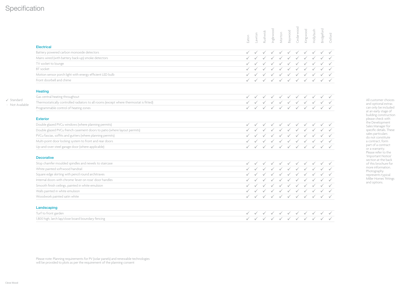## **Specification**

 $\checkmark$  Standard - Not Available

|                                                                                        | Cedarwooc<br>Inglewood<br><b>Bridgeford</b><br>Kingwood<br>Hollybush<br>Baywood<br>Rushwick<br>Morton<br>Lawton<br>Oxford<br>Eaton                         |
|----------------------------------------------------------------------------------------|------------------------------------------------------------------------------------------------------------------------------------------------------------|
| <b>Electrical</b>                                                                      |                                                                                                                                                            |
| Battery powered carbon monoxide detectors                                              | $\checkmark$                                                                                                                                               |
| Mains wired (with battery back-up) smoke detectors                                     |                                                                                                                                                            |
| TV socket to lounge                                                                    |                                                                                                                                                            |
| <b>BT</b> socket                                                                       |                                                                                                                                                            |
| Motion sensor porch light with energy efficient LED bulb                               |                                                                                                                                                            |
| Front doorbell and chime                                                               |                                                                                                                                                            |
| <b>Heating</b>                                                                         |                                                                                                                                                            |
| Gas central heating throughout                                                         |                                                                                                                                                            |
| Thermostatically controlled radiators to all rooms (except where thermostat is fitted) |                                                                                                                                                            |
| Programmable control of heating zones                                                  |                                                                                                                                                            |
| <b>Exterior</b>                                                                        |                                                                                                                                                            |
| Double glazed PVCu windows (where planning permits)                                    |                                                                                                                                                            |
| Double glazed PVCu french casement doors to patio (where layout permits)               |                                                                                                                                                            |
| PVCu fascias, soffits and gutters (where planning permits)                             |                                                                                                                                                            |
| Multi-point door locking system to front and rear doors                                |                                                                                                                                                            |
| Up-and-over steel garage door (where applicable)                                       |                                                                                                                                                            |
| <b>Decorative</b>                                                                      |                                                                                                                                                            |
| Stop chamfer moulded spindles and newels to staircase                                  |                                                                                                                                                            |
| White painted softwood handrail                                                        |                                                                                                                                                            |
| Square edge skirting with pencil round architraves                                     |                                                                                                                                                            |
| Internal doors with chrome 'lever on rose' door handles                                |                                                                                                                                                            |
| Smooth finish ceilings, painted in white emulsion                                      |                                                                                                                                                            |
| Walls painted in white emulsion                                                        |                                                                                                                                                            |
| Woodwork painted satin white                                                           |                                                                                                                                                            |
| Landscaping                                                                            |                                                                                                                                                            |
| Turf to front garden                                                                   | $\checkmark$<br>$\checkmark$<br>$\checkmark$<br>$\checkmark$<br>$\checkmark$<br>$\checkmark$<br>$\checkmark$<br>$\sqrt{ }$<br>$\checkmark$<br>$\checkmark$ |

<u>i v v v v v v v v v</u> 1,800 high, larch lap/close board boundary fencing <u>i v v v v v v v v v</u>

Please note: Planning requirements for PV (solar panels) and renewable technologies will be provided to plots as per the requirement of the planning consent